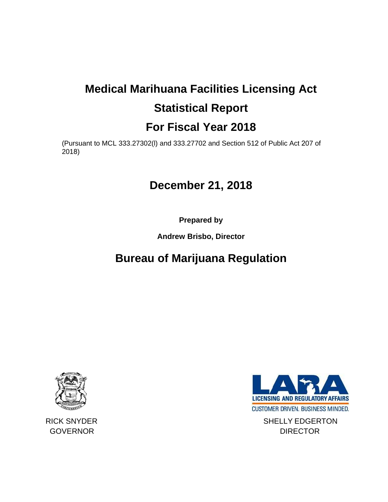# **Medical Marihuana Facilities Licensing Act Statistical Report For Fiscal Year 2018**

(Pursuant to MCL 333.27302(l) and 333.27702 and Section 512 of Public Act 207 of 2018)

## **December 21, 2018**

**Prepared by** 

**Andrew Brisbo, Director** 

### **Bureau of Marijuana Regulation**





RICK SNYDER SHELLY EDGERTON GOVERNOR DIRECTOR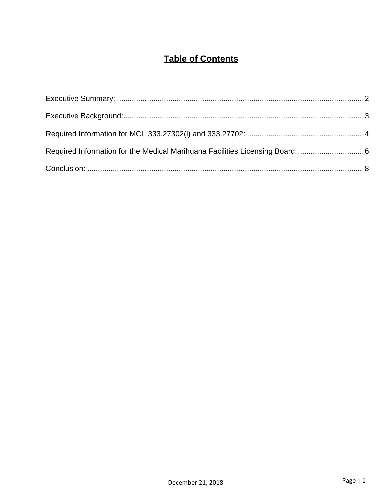### **Table of Contents**

| Required Information for the Medical Marihuana Facilities Licensing Board: 6 |  |
|------------------------------------------------------------------------------|--|
|                                                                              |  |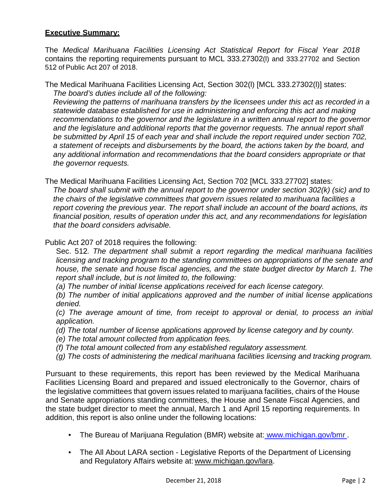#### **Executive Summary:**

The Medical Marihuana Facilities Licensing Act Statistical Report for Fiscal Year 2018 contains the reporting requirements pursuant to MCL 333.27302(l) and 333.27702 and Section 512 of Public Act 207 of 2018.

The Medical Marihuana Facilities Licensing Act, Section 302(l) [MCL 333.27302(l)] states: The board's duties include all of the following:

Reviewing the patterns of marihuana transfers by the licensees under this act as recorded in a statewide database established for use in administering and enforcing this act and making recommendations to the governor and the legislature in a written annual report to the governor and the legislature and additional reports that the governor requests. The annual report shall be submitted by April 15 of each year and shall include the report required under section 702, a statement of receipts and disbursements by the board, the actions taken by the board, and any additional information and recommendations that the board considers appropriate or that the governor requests.

The Medical Marihuana Facilities Licensing Act, Section 702 [MCL 333.27702] states: The board shall submit with the annual report to the governor under section 302(k) (sic) and to the chairs of the legislative committees that govern issues related to marihuana facilities a report covering the previous year. The report shall include an account of the board actions, its financial position, results of operation under this act, and any recommendations for legislation that the board considers advisable.

#### Public Act 207 of 2018 requires the following:

Sec. 512. The department shall submit a report regarding the medical marihuana facilities licensing and tracking program to the standing committees on appropriations of the senate and house, the senate and house fiscal agencies, and the state budget director by March 1. The report shall include, but is not limited to, the following:

(a) The number of initial license applications received for each license category.

 $(b)$  The number of initial applications approved and the number of initial license applications denied.

(c) The average amount of time, from receipt to approval or denial, to process an initial application.

(d) The total number of license applications approved by license category and by county.

(e) The total amount collected from application fees.

(f) The total amount collected from any established regulatory assessment.

(g) The costs of administering the medical marihuana facilities licensing and tracking program.

Pursuant to these requirements, this report has been reviewed by the Medical Marihuana Facilities Licensing Board and prepared and issued electronically to the Governor, chairs of the legislative committees that govern issues related to marijuana facilities, chairs of the House and Senate appropriations standing committees, the House and Senate Fiscal Agencies, and the state budget director to meet the annual, March 1 and April 15 reporting requirements. In addition, this report is also online under the following locations:

- The Bureau of Marijuana Regulation (BMR) website at: www.michigan.gov/bmr.
- The All About LARA section Legislative Reports of the Department of Licensing and Regulatory Affairs website at: www.michigan.gov/lara.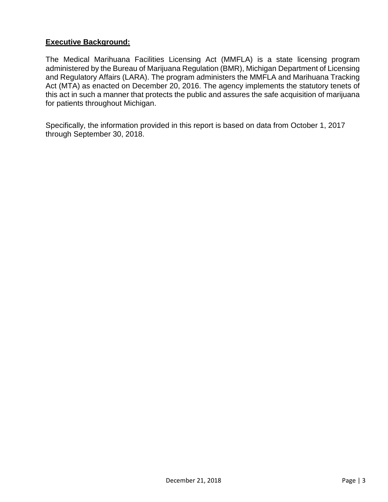#### **Executive Background:**

The Medical Marihuana Facilities Licensing Act (MMFLA) is a state licensing program administered by the Bureau of Marijuana Regulation (BMR), Michigan Department of Licensing and Regulatory Affairs (LARA). The program administers the MMFLA and Marihuana Tracking Act (MTA) as enacted on December 20, 2016. The agency implements the statutory tenets of this act in such a manner that protects the public and assures the safe acquisition of marijuana for patients throughout Michigan.

Specifically, the information provided in this report is based on data from October 1, 2017 through September 30, 2018.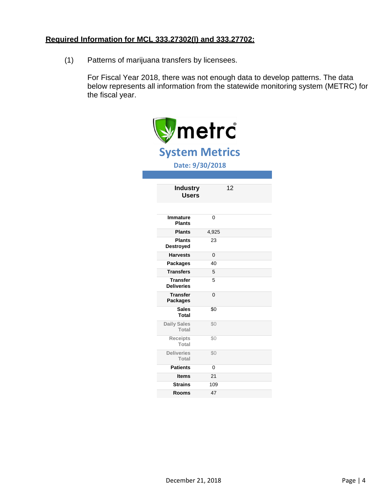#### **Required Information for MCL 333.27302(l) and 333.27702:**

(1) Patterns of marijuana transfers by licensees.

For Fiscal Year 2018, there was not enough data to develop patterns. The data below represents all information from the statewide monitoring system (METRC) for the fiscal year.

| metrc<br><b>System Metrics</b><br>Date: 9/30/2018 |                                      |       |    |  |
|---------------------------------------------------|--------------------------------------|-------|----|--|
|                                                   | <b>Industry</b><br><b>Users</b>      |       | 12 |  |
|                                                   | Immature<br><b>Plants</b>            | 0     |    |  |
|                                                   | <b>Plants</b>                        | 4,925 |    |  |
|                                                   | <b>Plants</b><br>Destroyed           | 23    |    |  |
|                                                   | <b>Harvests</b>                      | 0     |    |  |
|                                                   | <b>Packages</b>                      | 40    |    |  |
|                                                   | <b>Transfers</b>                     | 5     |    |  |
|                                                   | <b>Transfer</b><br><b>Deliveries</b> | 5     |    |  |
|                                                   | <b>Transfer</b><br><b>Packages</b>   | 0     |    |  |
|                                                   | <b>Sales</b><br>Total                | \$0   |    |  |
|                                                   | <b>Daily Sales</b><br>Total          | \$0   |    |  |
|                                                   | <b>Receipts</b><br>Total             | \$0   |    |  |
|                                                   | <b>Deliveries</b><br>Total           | \$0   |    |  |
|                                                   | <b>Patients</b>                      | 0     |    |  |
|                                                   | <b>Items</b>                         | 21    |    |  |
|                                                   | <b>Strains</b>                       | 109   |    |  |
|                                                   | <b>Rooms</b>                         | 47    |    |  |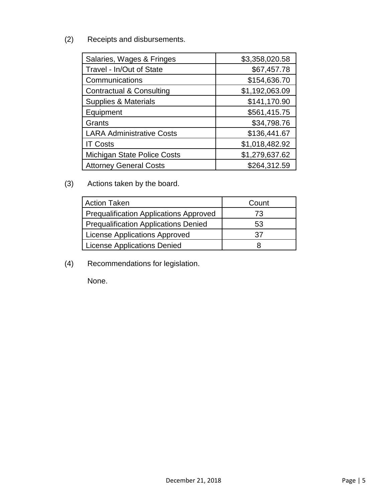(2) Receipts and disbursements.

| Salaries, Wages & Fringes           | \$3,358,020.58 |
|-------------------------------------|----------------|
| Travel - In/Out of State            | \$67,457.78    |
| Communications                      | \$154,636.70   |
| <b>Contractual &amp; Consulting</b> | \$1,192,063.09 |
| <b>Supplies &amp; Materials</b>     | \$141,170.90   |
| Equipment                           | \$561,415.75   |
| Grants                              | \$34,798.76    |
| <b>LARA Administrative Costs</b>    | \$136,441.67   |
| <b>IT Costs</b>                     | \$1,018,482.92 |
| Michigan State Police Costs         | \$1,279,637.62 |
| <b>Attorney General Costs</b>       | \$264,312.59   |

(3) Actions taken by the board.

| <b>Action Taken</b>                           | Count |  |  |
|-----------------------------------------------|-------|--|--|
| <b>Prequalification Applications Approved</b> | 73    |  |  |
| <b>Prequalification Applications Denied</b>   | 53    |  |  |
| License Applications Approved                 | 37    |  |  |
| <b>License Applications Denied</b>            |       |  |  |

(4) Recommendations for legislation.

None.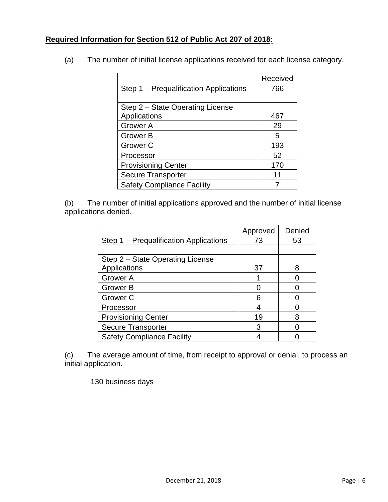#### **Required Information for Section 512 of Public Act 207 of 2018:**

(a) The number of initial license applications received for each license category.

|                                        | Received |
|----------------------------------------|----------|
| Step 1 – Prequalification Applications | 766      |
|                                        |          |
| Step 2 - State Operating License       |          |
| Applications                           | 467      |
| Grower A                               | 29       |
| <b>Grower B</b>                        | 5        |
| Grower C                               | 193      |
| Processor                              | 52       |
| <b>Provisioning Center</b>             | 170      |
| <b>Secure Transporter</b>              | 11       |
| <b>Safety Compliance Facility</b>      |          |

(b) The number of initial applications approved and the number of initial license applications denied.

|                                        | Approved | Denied |  |
|----------------------------------------|----------|--------|--|
| Step 1 – Prequalification Applications | 73       | 53     |  |
|                                        |          |        |  |
| Step 2 – State Operating License       |          |        |  |
| Applications                           | 37       | 8      |  |
| Grower A                               |          |        |  |
| Grower B                               |          |        |  |
| Grower C                               | 6        |        |  |
| Processor                              |          |        |  |
| <b>Provisioning Center</b>             | 19       | 8      |  |
| Secure Transporter                     | З        |        |  |
| <b>Safety Compliance Facility</b>      |          |        |  |

(c) The average amount of time, from receipt to approval or denial, to process an initial application.

130 business days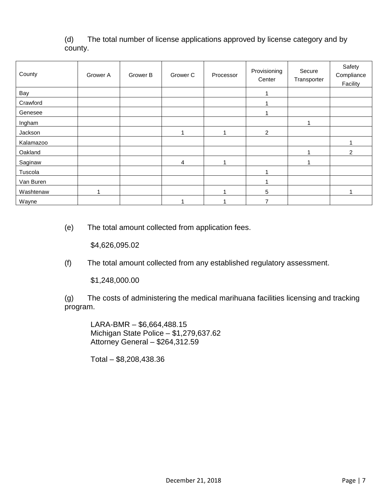#### (d) The total number of license applications approved by license category and by county.

| County    | Grower A | Grower B | Grower C       | Processor | Provisioning<br>Center | Secure<br>Transporter | Safety<br>Compliance<br>Facility |
|-----------|----------|----------|----------------|-----------|------------------------|-----------------------|----------------------------------|
| Bay       |          |          |                |           | и                      |                       |                                  |
| Crawford  |          |          |                |           |                        |                       |                                  |
| Genesee   |          |          |                |           | 4                      |                       |                                  |
| Ingham    |          |          |                |           |                        |                       |                                  |
| Jackson   |          |          |                | 4         | $\overline{2}$         |                       |                                  |
| Kalamazoo |          |          |                |           |                        |                       |                                  |
| Oakland   |          |          |                |           |                        |                       | $\overline{2}$                   |
| Saginaw   |          |          | $\overline{4}$ |           |                        |                       |                                  |
| Tuscola   |          |          |                |           | и                      |                       |                                  |
| Van Buren |          |          |                |           |                        |                       |                                  |
| Washtenaw |          |          |                |           | 5                      |                       |                                  |
| Wayne     |          |          |                |           | 7                      |                       |                                  |

(e) The total amount collected from application fees.

\$4,626,095.02

(f) The total amount collected from any established regulatory assessment.

\$1,248,000.00

(g) The costs of administering the medical marihuana facilities licensing and tracking program.

LARA-BMR – \$6,664,488.15 Michigan State Police – \$1,279,637.62 Attorney General – \$264,312.59

Total – \$8,208,438.36